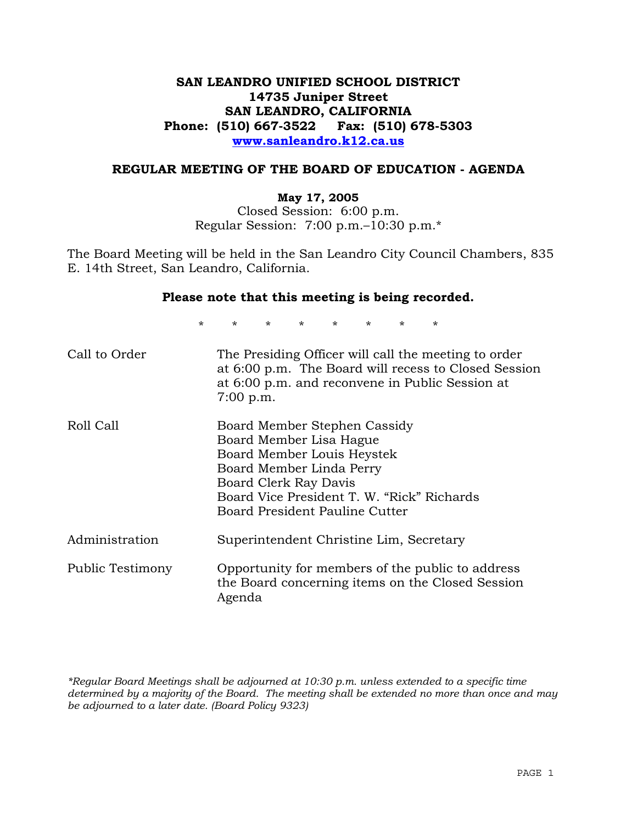# **SAN LEANDRO UNIFIED SCHOOL DISTRICT 14735 Juniper Street SAN LEANDRO, CALIFORNIA Phone: (510) 667-3522 Fax: (510) 678-5303 www.sanleandro.k12.ca.us**

#### **REGULAR MEETING OF THE BOARD OF EDUCATION - AGENDA**

#### **May 17, 2005**

Closed Session: 6:00 p.m. Regular Session: 7:00 p.m.–10:30 p.m.\*

The Board Meeting will be held in the San Leandro City Council Chambers, 835 E. 14th Street, San Leandro, California.

#### **Please note that this meeting is being recorded.**

\* \* \* \* \* \* \* \* Call to Order The Presiding Officer will call the meeting to order at 6:00 p.m. The Board will recess to Closed Session at 6:00 p.m. and reconvene in Public Session at 7:00 p.m. Roll Call Board Member Stephen Cassidy Board Member Lisa Hague Board Member Louis Heystek Board Member Linda Perry Board Clerk Ray Davis Board Vice President T. W. "Rick" Richards Board President Pauline Cutter Administration Superintendent Christine Lim, Secretary Public Testimony Opportunity for members of the public to address the Board concerning items on the Closed Session Agenda

*\*Regular Board Meetings shall be adjourned at 10:30 p.m. unless extended to a specific time determined by a majority of the Board. The meeting shall be extended no more than once and may be adjourned to a later date. (Board Policy 9323)*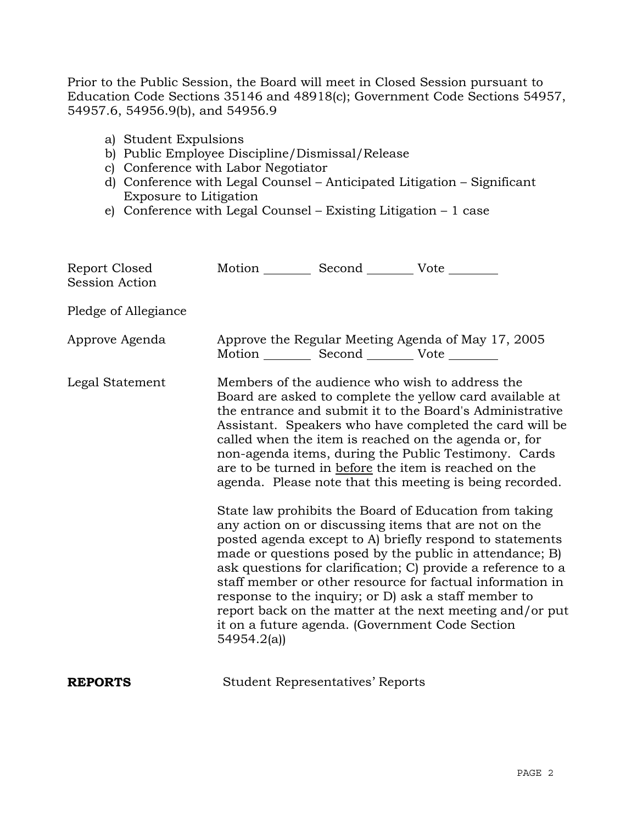Prior to the Public Session, the Board will meet in Closed Session pursuant to Education Code Sections 35146 and 48918(c); Government Code Sections 54957, 54957.6, 54956.9(b), and 54956.9

- a) Student Expulsions
- b) Public Employee Discipline/Dismissal/Release
- c) Conference with Labor Negotiator
- d) Conference with Legal Counsel Anticipated Litigation Significant Exposure to Litigation
- e) Conference with Legal Counsel Existing Litigation 1 case

| Report Closed<br><b>Session Action</b> | Motion __________ Second __________ Vote ________                                                                                                                                                                                                                                                                                                                                                                                                                                                                                                                                                                                                                                                                                                                                                                                                                                                                                                                                                                                    |
|----------------------------------------|--------------------------------------------------------------------------------------------------------------------------------------------------------------------------------------------------------------------------------------------------------------------------------------------------------------------------------------------------------------------------------------------------------------------------------------------------------------------------------------------------------------------------------------------------------------------------------------------------------------------------------------------------------------------------------------------------------------------------------------------------------------------------------------------------------------------------------------------------------------------------------------------------------------------------------------------------------------------------------------------------------------------------------------|
| Pledge of Allegiance                   |                                                                                                                                                                                                                                                                                                                                                                                                                                                                                                                                                                                                                                                                                                                                                                                                                                                                                                                                                                                                                                      |
| Approve Agenda                         | Approve the Regular Meeting Agenda of May 17, 2005<br>Motion __________ Second __________ Vote ________                                                                                                                                                                                                                                                                                                                                                                                                                                                                                                                                                                                                                                                                                                                                                                                                                                                                                                                              |
| Legal Statement                        | Members of the audience who wish to address the<br>Board are asked to complete the yellow card available at<br>the entrance and submit it to the Board's Administrative<br>Assistant. Speakers who have completed the card will be<br>called when the item is reached on the agenda or, for<br>non-agenda items, during the Public Testimony. Cards<br>are to be turned in before the item is reached on the<br>agenda. Please note that this meeting is being recorded.<br>State law prohibits the Board of Education from taking<br>any action on or discussing items that are not on the<br>posted agenda except to A) briefly respond to statements<br>made or questions posed by the public in attendance; B)<br>ask questions for clarification; C) provide a reference to a<br>staff member or other resource for factual information in<br>response to the inquiry; or D) ask a staff member to<br>report back on the matter at the next meeting and/or put<br>it on a future agenda. (Government Code Section<br>54954.2(a) |
| <b>REPORTS</b>                         | <b>Student Representatives' Reports</b>                                                                                                                                                                                                                                                                                                                                                                                                                                                                                                                                                                                                                                                                                                                                                                                                                                                                                                                                                                                              |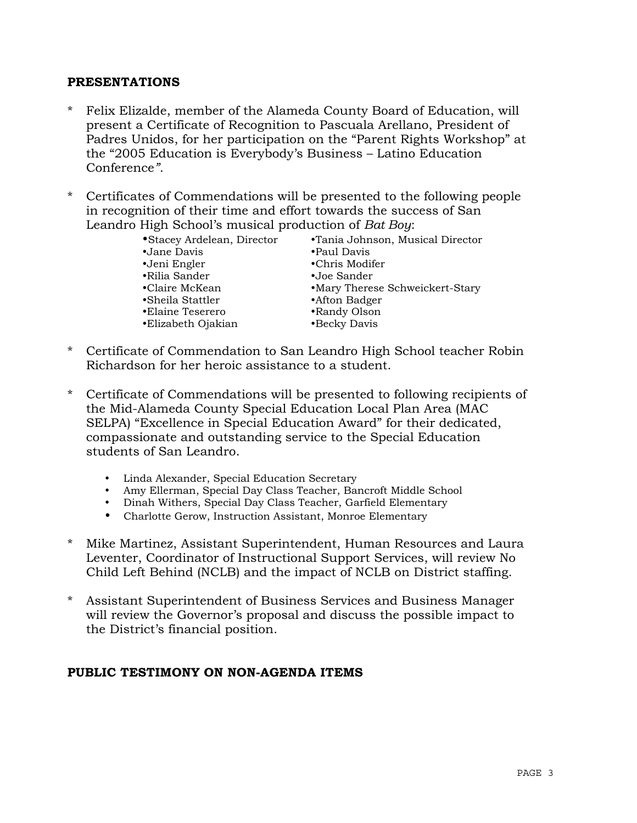## **PRESENTATIONS**

- Felix Elizalde, member of the Alameda County Board of Education, will present a Certificate of Recognition to Pascuala Arellano, President of Padres Unidos, for her participation on the "Parent Rights Workshop" at the "2005 Education is Everybody's Business – Latino Education Conference*"*.
- \* Certificates of Commendations will be presented to the following people in recognition of their time and effort towards the success of San Leandro High School's musical production of *Bat Boy*:

| • Stacey Ardelean, Director | •Tania Johnson, Musical Director |
|-----------------------------|----------------------------------|
| •Jane Davis                 | •Paul Davis                      |
| •Jeni Engler                | •Chris Modifer                   |
| •Rilia Sander               | •Joe Sander                      |
| •Claire McKean              | •Mary Therese Schweickert-Stary  |
| •Sheila Stattler            | •Afton Badger                    |
| •Elaine Teserero            | •Randy Olson                     |
| •Elizabeth Ojakian          | •Becky Davis                     |

- \* Certificate of Commendation to San Leandro High School teacher Robin Richardson for her heroic assistance to a student.
- Certificate of Commendations will be presented to following recipients of the Mid-Alameda County Special Education Local Plan Area (MAC SELPA) "Excellence in Special Education Award" for their dedicated, compassionate and outstanding service to the Special Education students of San Leandro.
	- Linda Alexander, Special Education Secretary
	- Amy Ellerman, Special Day Class Teacher, Bancroft Middle School
	- Dinah Withers, Special Day Class Teacher, Garfield Elementary
	- Charlotte Gerow, Instruction Assistant, Monroe Elementary
- \* Mike Martinez, Assistant Superintendent, Human Resources and Laura Leventer, Coordinator of Instructional Support Services, will review No Child Left Behind (NCLB) and the impact of NCLB on District staffing.
- \* Assistant Superintendent of Business Services and Business Manager will review the Governor's proposal and discuss the possible impact to the District's financial position.

### **PUBLIC TESTIMONY ON NON-AGENDA ITEMS**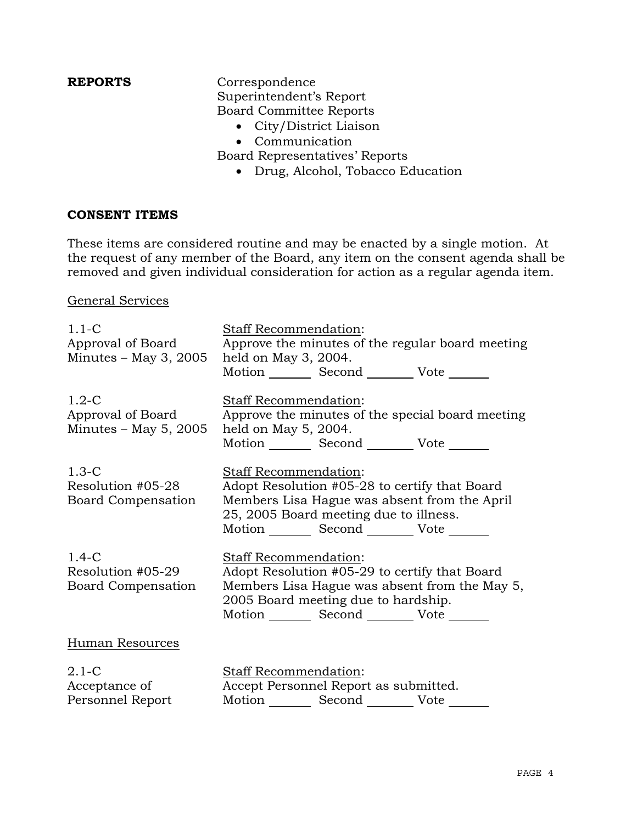**REPORTS** Correspondence Superintendent's Report Board Committee Reports

- City/District Liaison
- Communication

Board Representatives' Reports

• Drug, Alcohol, Tobacco Education

#### **CONSENT ITEMS**

These items are considered routine and may be enacted by a single motion. At the request of any member of the Board, any item on the consent agenda shall be removed and given individual consideration for action as a regular agenda item.

#### General Services

| $1.1 - C$<br>Approval of Board<br>Minutes $-$ May 3, 2005 | <b>Staff Recommendation:</b><br>Approve the minutes of the regular board meeting<br>held on May 3, 2004.<br>Motion Second Vote ______                                                                               |
|-----------------------------------------------------------|---------------------------------------------------------------------------------------------------------------------------------------------------------------------------------------------------------------------|
| $1.2-C$<br>Approval of Board<br>Minutes $-$ May 5, 2005   | <b>Staff Recommendation:</b><br>Approve the minutes of the special board meeting<br>held on May 5, 2004.<br>Motion _________ Second __________ Vote _______                                                         |
| $1.3-C$<br>Resolution #05-28<br><b>Board Compensation</b> | Staff Recommendation:<br>Adopt Resolution #05-28 to certify that Board<br>Members Lisa Hague was absent from the April<br>25, 2005 Board meeting due to illness.<br>Motion _________ Second __________ Vote _______ |
| $1.4-C$<br>Resolution #05-29<br><b>Board Compensation</b> | <b>Staff Recommendation:</b><br>Adopt Resolution #05-29 to certify that Board<br>Members Lisa Hague was absent from the May 5,<br>2005 Board meeting due to hardship.<br>Motion Second Vote ______                  |
| Human Resources                                           |                                                                                                                                                                                                                     |
| $2.1-C$<br>Acceptance of<br>Personnel Report              | <b>Staff Recommendation:</b><br>Accept Personnel Report as submitted.<br>Motion _________ Second __________ Vote ______                                                                                             |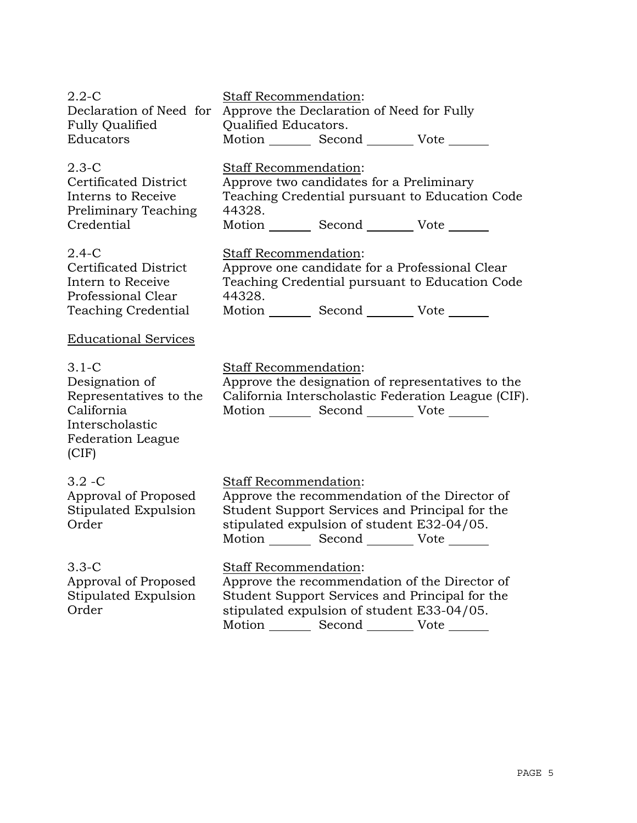| $2.2 - C$<br>Declaration of Need for<br><b>Fully Qualified</b><br>Educators                                               | <b>Staff Recommendation:</b><br>Approve the Declaration of Need for Fully<br>Qualified Educators.<br>Motion Second Vote                                                                                                          |
|---------------------------------------------------------------------------------------------------------------------------|----------------------------------------------------------------------------------------------------------------------------------------------------------------------------------------------------------------------------------|
| $2.3-C$<br><b>Certificated District</b><br>Interns to Receive<br>Preliminary Teaching<br>Credential                       | <b>Staff Recommendation:</b><br>Approve two candidates for a Preliminary<br>Teaching Credential pursuant to Education Code<br>44328.<br>Motion Second Vote                                                                       |
| $2.4-C$<br><b>Certificated District</b><br>Intern to Receive<br>Professional Clear<br><b>Teaching Credential</b>          | Staff Recommendation:<br>Approve one candidate for a Professional Clear<br>Teaching Credential pursuant to Education Code<br>44328.<br>Motion Second Vote                                                                        |
| <b>Educational Services</b>                                                                                               |                                                                                                                                                                                                                                  |
| $3.1-C$<br>Designation of<br>Representatives to the<br>California<br>Interscholastic<br><b>Federation League</b><br>(CIF) | Staff Recommendation:<br>Approve the designation of representatives to the<br>California Interscholastic Federation League (CIF).<br>Motion _________ Second __________ Vote _______                                             |
| $3.2 - C$<br>Approval of Proposed<br>Stipulated Expulsion<br>Order                                                        | <b>Staff Recommendation:</b><br>Approve the recommendation of the Director of<br>Student Support Services and Principal for the<br>stipulated expulsion of student E32-04/05.<br>Motion _________ Second __________ Vote _______ |
| $3.3-C$<br>Approval of Proposed<br>Stipulated Expulsion<br>Order                                                          | Staff Recommendation:<br>Approve the recommendation of the Director of<br>Student Support Services and Principal for the<br>stipulated expulsion of student E33-04/05.<br>Motion _________ Second _________ Vote                 |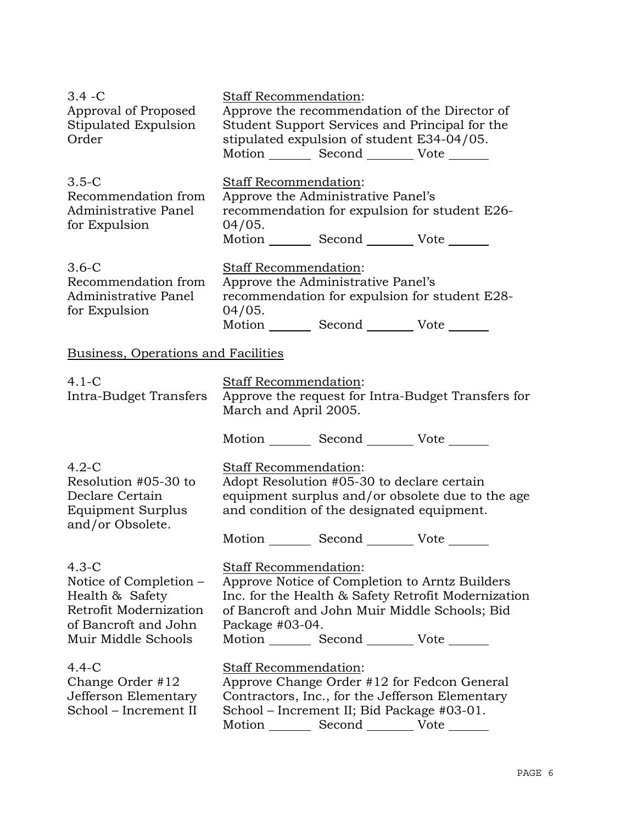| $3.4 - C$<br>Approval of Proposed<br>Stipulated Expulsion<br>Order                                                            | Staff Recommendation:                                                                                                                                                                                                                                    | stipulated expulsion of student E34-04/05.<br>Motion _________ Second ___________ Vote _______                                                                                                  | Approve the recommendation of the Director of<br>Student Support Services and Principal for the |
|-------------------------------------------------------------------------------------------------------------------------------|----------------------------------------------------------------------------------------------------------------------------------------------------------------------------------------------------------------------------------------------------------|-------------------------------------------------------------------------------------------------------------------------------------------------------------------------------------------------|-------------------------------------------------------------------------------------------------|
| $3.5-C$<br>Recommendation from<br>Administrative Panel<br>for Expulsion                                                       | Staff Recommendation:<br>04/05.                                                                                                                                                                                                                          | Approve the Administrative Panel's<br>Motion _________ Second __________ Vote _______                                                                                                           | recommendation for expulsion for student E26-                                                   |
| $3.6-C$<br>Recommendation from<br>Administrative Panel<br>for Expulsion                                                       | Staff Recommendation:<br>04/05.                                                                                                                                                                                                                          | Approve the Administrative Panel's<br>Motion _________ Second __________ Vote _______                                                                                                           | recommendation for expulsion for student E28-                                                   |
| Business, Operations and Facilities                                                                                           |                                                                                                                                                                                                                                                          |                                                                                                                                                                                                 |                                                                                                 |
| $4.1-C$<br>Intra-Budget Transfers                                                                                             | Staff Recommendation:<br>March and April 2005.                                                                                                                                                                                                           |                                                                                                                                                                                                 | Approve the request for Intra-Budget Transfers for                                              |
| $4.2-C$<br>Resolution #05-30 to<br>Declare Certain<br>Equipment Surplus<br>and/or Obsolete.                                   | Staff Recommendation:                                                                                                                                                                                                                                    | Motion _________ Second __________ Vote _______<br>Adopt Resolution #05-30 to declare certain<br>and condition of the designated equipment.<br>Motion _________ Second ___________ Vote _______ | equipment surplus and/or obsolete due to the age                                                |
| $4.3-C$<br>Notice of Completion –<br>Health & Safety<br>Retrofit Modernization<br>of Bancroft and John<br>Muir Middle Schools | Staff Recommendation:<br>Approve Notice of Completion to Arntz Builders<br>Inc. for the Health & Safety Retrofit Modernization<br>of Bancroft and John Muir Middle Schools; Bid<br>Package $#03-04$ .<br>Motion _________ Second __________ Vote _______ |                                                                                                                                                                                                 |                                                                                                 |
| $4.4 - C$<br>Change Order #12<br>Jefferson Elementary<br>School – Increment II                                                | Staff Recommendation:                                                                                                                                                                                                                                    | School – Increment II; Bid Package #03-01.<br>Motion _________ Second __________ Vote _______                                                                                                   | Approve Change Order #12 for Fedcon General<br>Contractors, Inc., for the Jefferson Elementary  |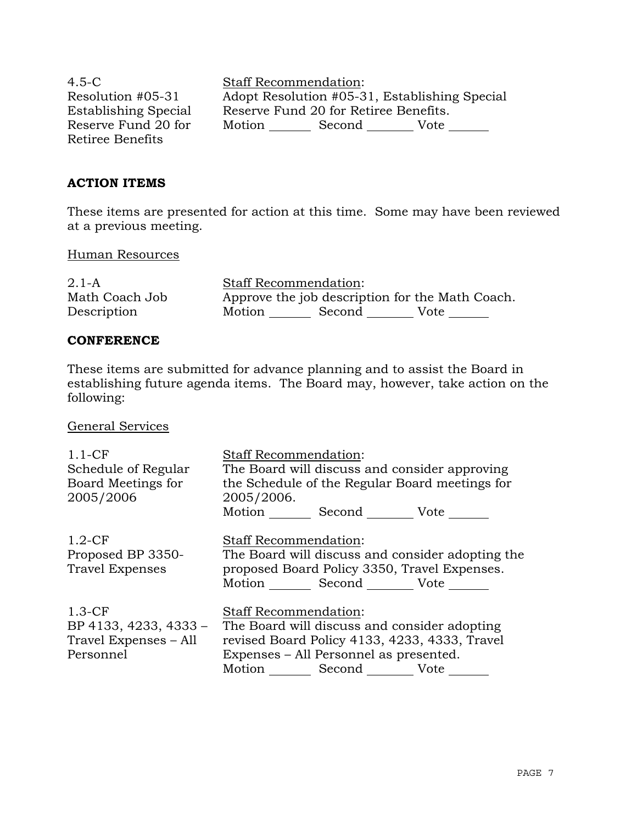4.5-C Resolution #05-31 Establishing Special Reserve Fund 20 for Retiree Benefits

Staff Recommendation: Adopt Resolution #05-31, Establishing Special Reserve Fund 20 for Retiree Benefits. Motion Second Vote \_\_\_\_\_\_\_

### **ACTION ITEMS**

These items are presented for action at this time. Some may have been reviewed at a previous meeting.

#### Human Resources

 $2.1 - A$ Math Coach Job Description Staff Recommendation: Approve the job description for the Math Coach. Motion Second Vote \_\_\_\_\_\_

### **CONFERENCE**

These items are submitted for advance planning and to assist the Board in establishing future agenda items. The Board may, however, take action on the following:

General Services

| $1.1-CF$<br>Schedule of Regular<br>Board Meetings for<br>2005/2006      | <b>Staff Recommendation:</b><br>The Board will discuss and consider approving<br>the Schedule of the Regular Board meetings for<br>2005/2006.<br>Motion Second Vote                           |
|-------------------------------------------------------------------------|-----------------------------------------------------------------------------------------------------------------------------------------------------------------------------------------------|
| $1.2-CF$<br>Proposed BP 3350-<br>Travel Expenses                        | <b>Staff Recommendation:</b><br>The Board will discuss and consider adopting the<br>proposed Board Policy 3350, Travel Expenses.<br>Motion Second Vote                                        |
| $1.3-CF$<br>BP 4133, 4233, 4333 -<br>Travel Expenses - All<br>Personnel | <b>Staff Recommendation:</b><br>The Board will discuss and consider adopting<br>revised Board Policy 4133, 4233, 4333, Travel<br>Expenses – All Personnel as presented.<br>Motion Second Vote |